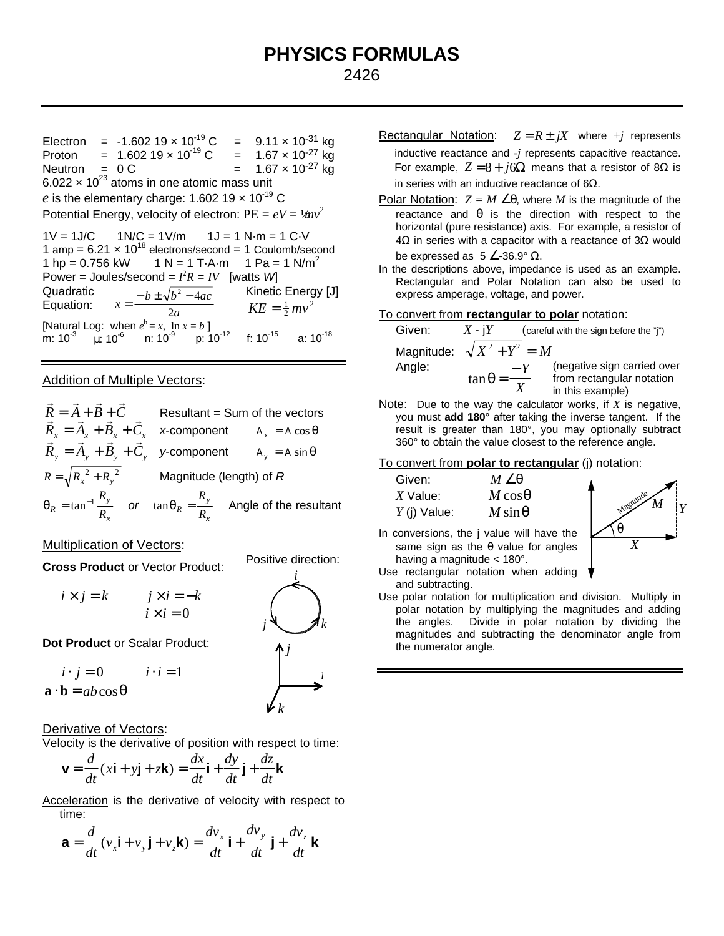# **PHYSICS FORMULAS** 2426

Electron = -1.602 19  $\times$  10<sup>-19</sup> C = 9.11  $\times$  10<sup>-31</sup> kg Proton =  $1.602\ 19 \times 10^{-19}$  C =  $1.67 \times 10^{-27}$  kg<br>Neutron = 0 C =  $1.67 \times 10^{-27}$  kg  $= 1.67 \times 10^{-27}$  kg 6.022  $\times$  10<sup>23</sup> atoms in one atomic mass unit e is the elementary charge: 1.602 19  $\times$  10<sup>-19</sup> C Potential Energy, velocity of electron:  $PE = eV = \frac{1}{2}mv^2$ 

 $1V = 1J/C$   $1N/C = 1V/m$   $1J = 1 N·m = 1 C·V$ 1 amp =  $6.21 \times 10^{18}$  electrons/second = 1 Coulomb/second 1 hp = 0.756 kW 1 N = 1 T·A·m 1 Pa = 1 N/m<sup>2</sup> Power = Joules/second =  $I^2R = IV$  [watts *W*] Quadratic Equation:  $b \pm \sqrt{b^2 - 4ac}$  $=\frac{-b\pm\sqrt{b^2-4}}{2a}$  $\overline{2a}$   $KE = \frac{1}{2}mv^2$ Kinetic Energy [J] [Natural Log: when  $e^b = x$ ,  $\ln x = b$ ] m: 10 $^{-3}$   $\mu$ : 10 $^{-6}$  n: 10 $^{-9}$  p: 10 $^{-12}$  f: 10 $^{-15}$  a: 10 $^{-18}$ 

### Addition of Multiple Vectors:

$$
\vec{R} = \vec{A} + \vec{B} + \vec{C}
$$
 Resultant = Sum of the vectors  
\n
$$
\vec{R}_x = \vec{A}_x + \vec{B}_x + \vec{C}_x
$$
 x-component  $A_x = A \cos \theta$   
\n
$$
\vec{R}_y = \vec{A}_y + \vec{B}_y + \vec{C}_y
$$
 y-component  $A_y = A \sin \theta$   
\n
$$
R = \sqrt{R_x^2 + R_y^2}
$$
 Magnitude (length) of R  
\n
$$
q_R = \tan^{-1} \frac{R_y}{R_x}
$$
 or  $\tan q_R = \frac{R_y}{R_x}$  Angle of the resultant

Multiplication of Vectors:

**Cross Product** or Vector Product:

$$
i \times j = k
$$
  $j \times i = -k$   
 $i \times i = 0$ 

**Dot Product** or Scalar Product:

$$
i \cdot j = 0 \qquad i \cdot i = 1
$$
  

$$
\mathbf{a} \cdot \mathbf{b} = ab \cos \mathbf{q}
$$

Derivative of Vectors:

Velocity is the derivative of position with respect to time:

$$
\mathbf{v} = \frac{d}{dt}(x\mathbf{i} + y\mathbf{j} + z\mathbf{k}) = \frac{dx}{dt}\mathbf{i} + \frac{dy}{dt}\mathbf{j} + \frac{dz}{dt}\mathbf{k}
$$

Acceleration is the derivative of velocity with respect to time:

$$
\mathbf{a} = \frac{d}{dt}(v_x \mathbf{i} + v_y \mathbf{j} + v_z \mathbf{k}) = \frac{dv_x}{dt} \mathbf{i} + \frac{dv_y}{dt} \mathbf{j} + \frac{dv_z}{dt} \mathbf{k}
$$

- Rectangular Notation:  $Z = R \pm jX$  where +*j* represents inductive reactance and -*j* represents capacitive reactance. For example,  $Z = 8 + j6Ω$  means that a resistor of 8Ω is in series with an inductive reactance of 6Ω.
- Polar Notation:  $Z = M \angle q$ , where *M* is the magnitude of the reactance and  $q$  is the direction with respect to the horizontal (pure resistance) axis. For example, a resistor of 4Ω in series with a capacitor with a reactance of 3Ω would be expressed as  $5 \angle 36.9^\circ$  Ω.
- In the descriptions above, impedance is used as an example. Rectangular and Polar Notation can also be used to express amperage, voltage, and power.

### To convert from **rectangular to polar** notation:

Given:  $X - iY$  (careful with the sign before the "j")

− *Y*

Magnitude:  $\sqrt{X^2 + Y^2} = M$ Angle:  $\tan \theta =$ 

 $\overline{X}$  from rectangular notation<br> $\overline{X}$  in this example) (negative sign carried over in this example)

Note: Due to the way the calculator works, if *X* is negative, you must **add 180°** after taking the inverse tangent. If the result is greater than 180°, you may optionally subtract 360° to obtain the value closest to the reference angle.

### To convert from **polar to rectangular** (j) notation:

| Given:         | $M\angle q$     |
|----------------|-----------------|
| $X$ Value:     | $M \cos\theta$  |
| $Y$ (j) Value: | $M \sin \theta$ |



- In conversions, the j value will have the same sign as the *q* value for angles having a magnitude < 180°.
- Use rectangular notation when adding and subtracting.
- Use polar notation for multiplication and division. Multiply in polar notation by multiplying the magnitudes and adding the angles. Divide in polar notation by dividing the magnitudes and subtracting the denominator angle from the numerator angle.



Positive direction: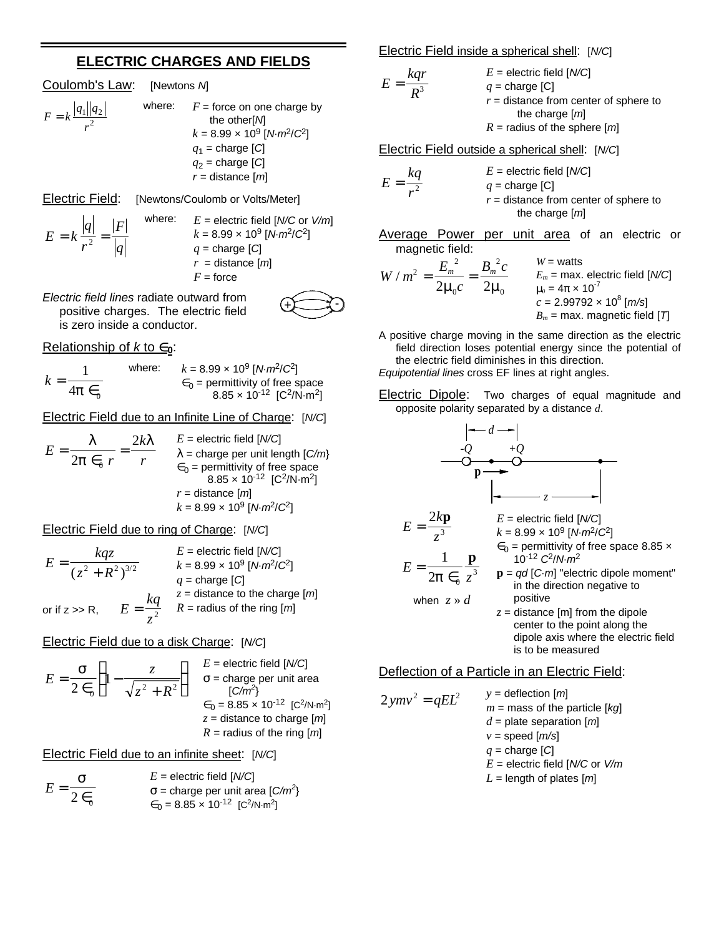# **ELECTRIC CHARGES AND FIELDS**

Coulomb's Law: [Newtons *N*]

*F*

$$
F = k \frac{|q_1||q_2|}{r^2}
$$

where:  $F =$  force on one charge by the other[*N*] *k* = 8.99 × 10<sup>9</sup> [*N*·*m*<sup>2</sup> /*C*<sup>2</sup> ] *q*1 = charge [*C*] *q*2 = charge [*C*] *r* = distance [*m*]

Electric Field: [Newtons/Coulomb or Volts/Meter]

*q r*

 $= k \frac{q}{r^2} = \frac{r}{q}$ 

 $E = k$ 

where: *E* = electric field [*N/C* or *V/m*]  $k = 8.99 \times 10^9 \,[\text{N} \cdot \text{m}^2/\text{C}^2]$  $q =$ charge  $|C|$ 

- *r* = distance [*m*]
- $F =$  force

*Electric field lines* radiate outward from positive charges. The electric field is zero inside a conductor.

## Relationship of  $k$  to  $\in$ <sub>0</sub>:

$$
k = \frac{1}{4\mathbf{p} \in \mathbb{Q}}
$$
 where:  $k = 8.99 \times 10^9 \text{ [N} \cdot m^2/\mathbb{C}^2\text{]}$   
 $\in_0$  = permittivity of free space  
 $8.85 \times 10^{-12} \text{ [C}^2/\text{N} \cdot m^2\text{]}$ 

Electric Field due to an Infinite Line of Charge: [*N/C*]

$$
E = \frac{1}{2p \epsilon_0 r} = \frac{2kI}{r}
$$
  
\n
$$
E = \text{electric field } [N/C]
$$
  
\n
$$
I = \text{charge per unit length } [C/m]
$$
  
\n
$$
\epsilon_0 = \text{permittivity of free space}
$$
  
\n
$$
8.85 \times 10^{-12} [C^2/N \cdot m^2]
$$
  
\n
$$
r = \text{distance } [m]
$$
  
\n
$$
k = 8.99 \times 10^9 [N \cdot m^2/C^2]
$$

Electric Field due to ring of Charge: [*N/C*]

$$
E = \frac{kqz}{(z^2 + R^2)^{3/2}}
$$
  
\n
$$
E = \text{electric field } [N/C]
$$
  
\n
$$
k = 8.99 \times 10^9 \text{ [N} \cdot m^2/C^2]
$$
  
\n
$$
q = \text{charge } [C]
$$
  
\nor if z >> R,  
\n
$$
E = \frac{kq}{z^2}
$$
  
\n
$$
E = \text{radius of the ring } [m]
$$

Electric Field due to a disk Charge: [*N/C*]

$$
E = \frac{\mathbf{S}}{2 \epsilon_0} \left( 1 - \frac{z}{\sqrt{z^2 + R^2}} \right) \quad \begin{array}{l} E = \text{electric field } [N/C] \\ \mathbf{S} = \text{charge per unit area} \\ [C/m^2] \\ \epsilon_0 = 8.85 \times 10^{-12} [C^2/N \cdot m^2] \\ z = \text{distance to charge } [m] \\ R = \text{radius of the ring } [m] \end{array}
$$

Electric Field due to an infinite sheet: [*N/C*]

$$
E = \frac{\mathbf{S}}{2 \epsilon_0}
$$
  
  $E = \text{electric field } [N/C]$   
  $\mathbf{S} = \text{charge per unit area } [C/m^2]$   
  $\epsilon_0 = 8.85 \times 10^{-12} [C^2/N \cdot m^2]$ 

Electric Field inside a spherical shell: [*N/C*]

| $E = \frac{kqr}{R^3}$                                          | $E = \text{electric field } [N/C]$ |
|----------------------------------------------------------------|------------------------------------|
| $q = \text{charge } [C]$                                       |                                    |
| $r = \text{distance from center of sphere to the charge } [m]$ |                                    |
| $R = \text{radius of the sphere } [m]$                         |                                    |

Electric Field outside a spherical shell: [*N/C*]

$$
E = \frac{kq}{r^2}
$$
  
\n
$$
E = \text{electric field } [N/C]
$$
  
\n
$$
q = \text{charge } [C]
$$
  
\n
$$
r = \text{distance from center of sphere to}
$$
  
\nthe charge [m]

Average Power per unit area of an electric or magnetic field:

$$
W/m^{2} = \frac{E_{m}^{2}}{2\mu_{0}c} = \frac{B_{m}^{2}c}{2\mu_{0}}
$$
  

$$
W = \text{watts}
$$
  

$$
E_{m} = \text{max. electric field [N/C]}
$$

$$
m_{0} = 4\pi \times 10^{-7}
$$

$$
c = 2.99792 \times 10^{8} \text{ [m/s]}
$$

$$
B_{m} = \text{max. magnetic field [T]}
$$

A positive charge moving in the same direction as the electric field direction loses potential energy since the potential of the electric field diminishes in this direction. *Equipotential lines* cross EF lines at right angles.

**Electric Dipole:** Two charges of equal magnitude and opposite polarity separated by a distance *d*.



## Deflection of a Particle in an Electric Field:

$$
2 \text{ ymv}^2 = qEL^2
$$
  
\n
$$
y = \text{deflection [m]}
$$
  
\n
$$
m = \text{mass of the particle [kg]}
$$
  
\n
$$
d = \text{plate separation [m]}
$$
  
\n
$$
v = \text{speed [m/s]}
$$
  
\n
$$
q = \text{charge [C]}
$$
  
\n
$$
E = \text{electric field [N/C or V/m]}
$$
  
\n
$$
L = \text{length of plates [m]}
$$

$$
\bigoplus
$$

$$
\bigoplus_{i=1}^n
$$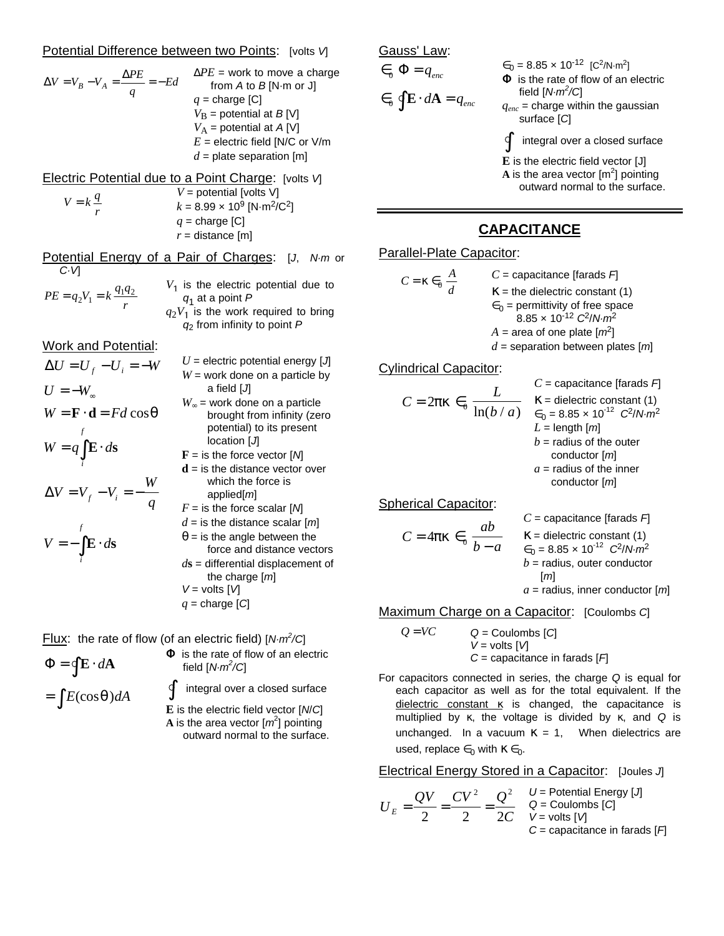#### Potential Difference between two Points: [volts *V*]

$$
\Delta V = V_B - V_A = \frac{\Delta PE}{q} = -Ed
$$
\n
$$
V_A = \frac{\Delta PE}{q} = -Ed
$$
\nfrom A to B [N·m or J]  
\n
$$
q = \text{charge [C]}
$$
\n
$$
V_B = \text{potential at } B[V]
$$
\n
$$
V_A = \text{potential at } A[V]
$$
\n
$$
E = \text{electric field [N/C or V/m]}
$$
\n
$$
d = \text{plate separation [m]}
$$

Electric Potential due to a Point Charge: [volts *V*] *V* = potential [volts V]

$$
V = k \frac{q}{r}
$$
  
\n
$$
V = \text{potential [volts V]}
$$
  
\n
$$
k = 8.99 \times 10^9 \text{ [N} \cdot \text{m}^2/\text{C}^2]
$$
  
\n
$$
q = \text{charge [C]}
$$
  
\n
$$
r = \text{distance [m]}
$$

Potential Energy of a Pair of Charges: [*J*, *N·m* or *C·V*] *V*1

$$
PE = q_2 V_1 = k \frac{q_1 q_2}{r}
$$
  
\n
$$
V_1
$$
 is the electric potential due to  
\n
$$
q_1
$$
 at a point P  
\n
$$
q_2 V_1
$$
 is the work required to bring  
\n
$$
q_2
$$
 from infinity to point P

Work and Potential:

$$
\Delta U = U_f - U_i = -W
$$
  
\n
$$
U = -W_\infty
$$
  
\n
$$
W = \mathbf{F} \cdot \mathbf{d} = Fd \cos \mathbf{q}
$$
  
\n
$$
W = q \int_{i}^{f} \mathbf{E} \cdot d\mathbf{s}
$$
  
\n
$$
\Delta V = V_f - V_i = -\frac{W}{q}
$$
  
\n
$$
V = -\int_{i}^{f} \mathbf{E} \cdot d\mathbf{s}
$$

 $U =$  electric potential energy  $[J]$  $W =$  work done on a particle by a field [*J*] *W¥* = work done on a particle brought from infinity (zero potential) to its present location [*J*] **F** = is the force vector [*N*] **d** = is the distance vector over which the force is applied[*m*]  $F =$  is the force scalar  $[M]$  $d =$  is the distance scalar  $[m]$  $q =$  is the angle between the force and distance vectors *d***s** = differential displacement of the charge [*m*] *V* = volts [*V*]  $q =$ charge  $[C]$ 

Flux: the rate of flow (of an electric field) [*N·m<sup>2</sup> /C*]

 $\Phi = \oint \mathbf{E} \cdot d\mathbf{A}$  $= \int E(\cos q) dA$ 

*i*

 $\Phi$  is the rate of flow of an electric field [*N·m<sup>2</sup> /C*]

∫ integral over a closed surface

**E** is the electric field vector [*N*/*C*] **A** is the area vector  $[m^2]$  pointing outward normal to the surface. Gauss' Law:

$$
\in_{_{0}}\Phi=q_{_{enc}}
$$

 $\in$ <sub>0</sub>  $\oint \mathbf{E} \cdot d\mathbf{A} = q_{enc}$ 

$$
\epsilon_0 = 8.85 \times 10^{-12}
$$
 [C<sup>2</sup>/N·m<sup>2</sup>]  
\n $\Phi$  is the rate of flow of an electric

field [*N·m<sup>2</sup> /C*]

 $q_{enc}$  = charge within the gaussian surface [*C*]

∫ integral over a closed surface

**E** is the electric field vector [J]

**A** is the area vector  $\lfloor m^2 \rfloor$  pointing outward normal to the surface.

## **CAPACITANCE**

### Parallel-Plate Capacitor:

$$
C = \mathbf{k} \in \mathbf{R}^2
$$
  
\n
$$
C = \text{capacitance [farads } F]
$$
  
\n
$$
K = \text{the dielectric constant (1)}
$$
  
\n
$$
\in_0 = \text{permittivity of free space}
$$
  
\n
$$
8.85 \times 10^{-12} \text{ C}^2/\text{N} \cdot \text{m}^2
$$
  
\n
$$
A = \text{area of one plate [m}^2]
$$

 $8.85 \times 10^{-12} \text{ C}^2/\text{N} \cdot \text{m}^2$  $A$  = area of one plate  $[m^2]$ 

*C* = capacitance [farads *F*] the dielectric constant  $(1)$ 

## *d* = separation between plates [*m*]

## Cylindrical Capacitor:

$$
C = 2pk \in_{0} \frac{L}{\ln(b/a)} \times \text{E} = \text{dielectric constant (1)}
$$
\n
$$
= \ln(b/a) \times \ln(b/a) \times \text{E} = 8.85 \times 10^{-12} \text{ C}^2 / N \cdot m^2
$$
\n
$$
L = \text{length } [m]
$$
\n
$$
b = \text{radius of the outer conductor } [m]
$$
\n
$$
a = \text{radius of the inner}
$$

Spherical Capacitor:

$$
C = 4pk \in \frac{ab}{b-a}
$$

C = capacitance [farads F]  
\nK = dielectric constant (1)  
\n
$$
\epsilon_0 = 8.85 \times 10^{-12} C^2 / N \cdot m^2
$$
  
\nb = radius, outer conductor  
\n[m]  
\na = radius, inner conductor [m]

conductor [*m*]

/*N·m*<sup>2</sup>

Maximum Charge on a Capacitor: [Coulombs *C*]

$$
Q = VC
$$
  
Q = Coulombs [C]  

$$
V = volts [V]
$$
  
C = capacitance in farads [F]

For capacitors connected in series, the charge *Q* is equal for each capacitor as well as for the total equivalent. If the  $dielectric constant$   $\kappa$  is changed, the capacitance is multiplied by κ, the voltage is divided by κ, and *Q* is unchanged. In a vacuum  $\kappa = 1$ , When dielectrics are used, replace  $\epsilon_0$  with  $\kappa \epsilon_0$ .

Electrical Energy Stored in a Capacitor: [Joules *J*]

$$
U_E = \frac{QV}{2} = \frac{CV^2}{2} = \frac{Q^2}{2C} \quad \begin{array}{l} U = \text{Potential Energy [J]}\\ Q = \text{Coulombs [C]}\\ V = \text{volts [M]}\\ C = \text{capacitance in farads [F]} \end{array}
$$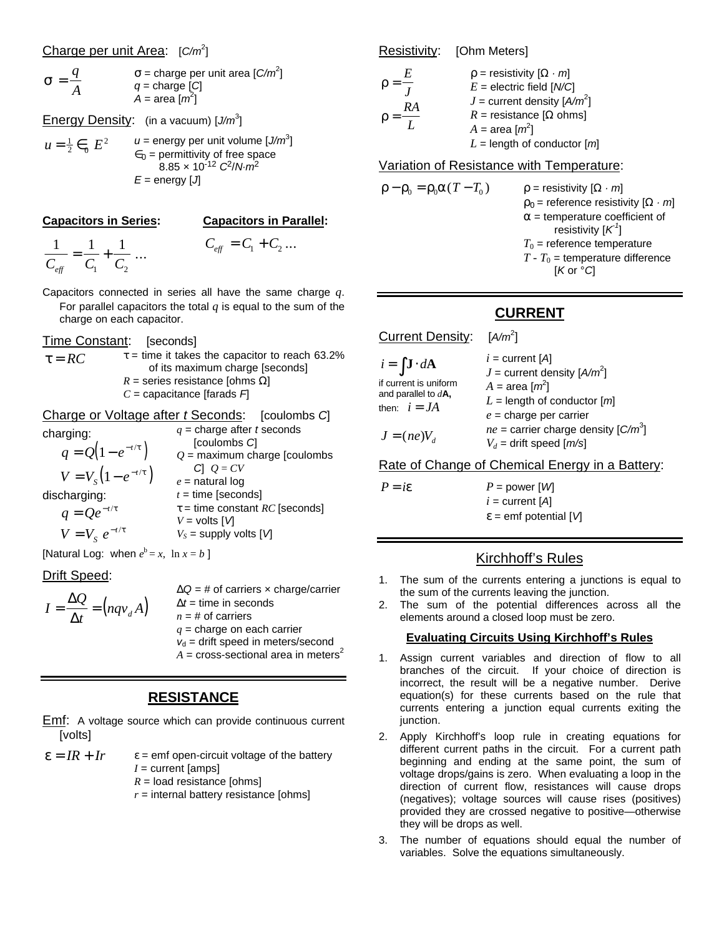### Charge per unit Area: [*C/m*<sup>2</sup> ]

$$
\mathbf{S} = \frac{q}{A} \qquad \qquad \mathbf{S} = \text{charge per unit area} \, [C/m^2]
$$
\n
$$
q = \text{charge} \, [C]
$$
\n
$$
A = \text{area} \, [m^2]
$$

Energy Density: (in a vacuum) [J/m<sup>3</sup>]

$$
u = \frac{1}{2} \in_{0} E^{2}
$$
  
\n
$$
u = \text{energy per unit volume } [J/m^{3}]
$$
  
\n
$$
\in_{0} = \text{permittivity of free space}
$$
  
\n
$$
8.85 \times 10^{-12} \text{ C}^{2}/\text{N} \cdot m^{2}
$$
  
\n
$$
E = \text{energy } [J]
$$

#### **Capacitors in Series:**

#### **Capacitors in Parallel:**

1 1 1  $C_{\mathit{eff}}$   $C_{1}$   $C_{2}$  $=\frac{1}{a} + \frac{1}{a}$  ...

- $C_{\text{eff}} = C_1 + C_2$ ...
- Capacitors connected in series all have the same charge *q*. For parallel capacitors the total *q* is equal to the sum of the charge on each capacitor.
- Time Constant: [seconds]
- $\tau = RC$   $t =$  time it takes the capacitor to reach 63.2% of its maximum charge [seconds] *R* = series resistance [ohms Ω] *C* = capacitance [farads *F*]

Charge or Voltage after *t* Seconds: [coulombs *C*] charging:  $q = Q(1 - e^{-t/t})$ *q* = charge after *t* seconds [coulombs *C*] *Q* = maximum charge [coulombs

 $V = V_s (1 - e^{-t/t})$ discharging:  $q = Qe^{-t/t}$  $V = V_s e^{-t/t}$ *C*] *Q* = *CV e* = natural log  $t =$  time [seconds]  $V =$  volts  $\lceil V \rceil$ 

*t* = time constant *RC* [seconds]  $V_S$  = supply volts  $\lceil V \rceil$ 

[Natural Log: when  $e^b = x$ ,  $\ln x = b$ ]

### Drift Speed:

$$
I = \frac{\Delta Q}{\Delta t} = (nqv_dA) \qquad \begin{array}{c} \Delta Q = \text{\# of carriers} \times \text{charge/carrier} \\ \Delta t = \text{time in seconds} \\ n = \text{\# of carriers} \\ q = \text{charge on each carrier} \\ v_d = \text{drift speed in meters/second} \end{array}
$$

 $A = \text{cross-sectional area in meters}^2$ 

## **RESISTANCE**

**Emf:** A voltage source which can provide continuous current [volts]

 $\epsilon = IR + Ir$   $\epsilon$  = emf open-circuit voltage of the battery *I* = current [amps]

- $R =$ load resistance [ohms]
- $r =$  internal battery resistance [ohms]

Resistivity: [Ohm Meters]

| F. | $r =$ resistivity $[W \cdot m]$   |
|----|-----------------------------------|
|    | $E =$ electric field $[N/C]$      |
|    | $J =$ current density $[A/m^2]$   |
| RA | $R =$ resistance [ <i>W</i> ohms] |
|    | $A = \text{area} [m^2]$           |
|    | $L =$ length of conductor $[m]$   |

Variation of Resistance with Temperature:

 $r - r_0 = r_0 a (T - T_0)$  $\mathbf{r}$  = resistivity  $[\mathbf{W} \cdot \mathbf{m}]$  $r_0$  = reference resistivity  $[W \cdot m]$ *a* = temperature coefficient of resistivity  $[\pmb{\mathcal{K}}^{\mathit{1}}]$  $T_0$  = reference temperature  $T - T_0$  = temperature difference [*K* or °*C*]

# **CURRENT**

Current Density:  $[A/m^2]$ 

| $i = \int \mathbf{J} \cdot d\mathbf{A}$         | $i =$ current [A]                       |
|-------------------------------------------------|-----------------------------------------|
|                                                 | $J =$ current density $[A/m^2]$         |
| if current is uniform                           | $A = \text{area} [m^2]$                 |
| and parallel to $d\mathbf{A}$ ,<br>then: $i=JA$ | $L =$ length of conductor $[m]$         |
|                                                 | $e$ = charge per carrier                |
|                                                 | $ne =$ carrier charge density $[C/m^3]$ |
| $J = (ne)V_d$                                   | $V_d$ = drift speed [m/s]               |

Rate of Change of Chemical Energy in a Battery:

 $P = i\mathbf{e}$   $P = \text{power}$  [*W*]  $i =$  current  $[A]$ *e* = emf potential [*V*]

## Kirchhoff's Rules

- 1. The sum of the currents entering a junctions is equal to the sum of the currents leaving the junction.
- 2. The sum of the potential differences across all the elements around a closed loop must be zero.

## **Evaluating Circuits Using Kirchhoff's Rules**

- 1. Assign current variables and direction of flow to all branches of the circuit. If your choice of direction is incorrect, the result will be a negative number. Derive equation(s) for these currents based on the rule that currents entering a junction equal currents exiting the junction.
- 2. Apply Kirchhoff's loop rule in creating equations for different current paths in the circuit. For a current path beginning and ending at the same point, the sum of voltage drops/gains is zero. When evaluating a loop in the direction of current flow, resistances will cause drops (negatives); voltage sources will cause rises (positives) provided they are crossed negative to positive—otherwise they will be drops as well.
- 3. The number of equations should equal the number of variables. Solve the equations simultaneously.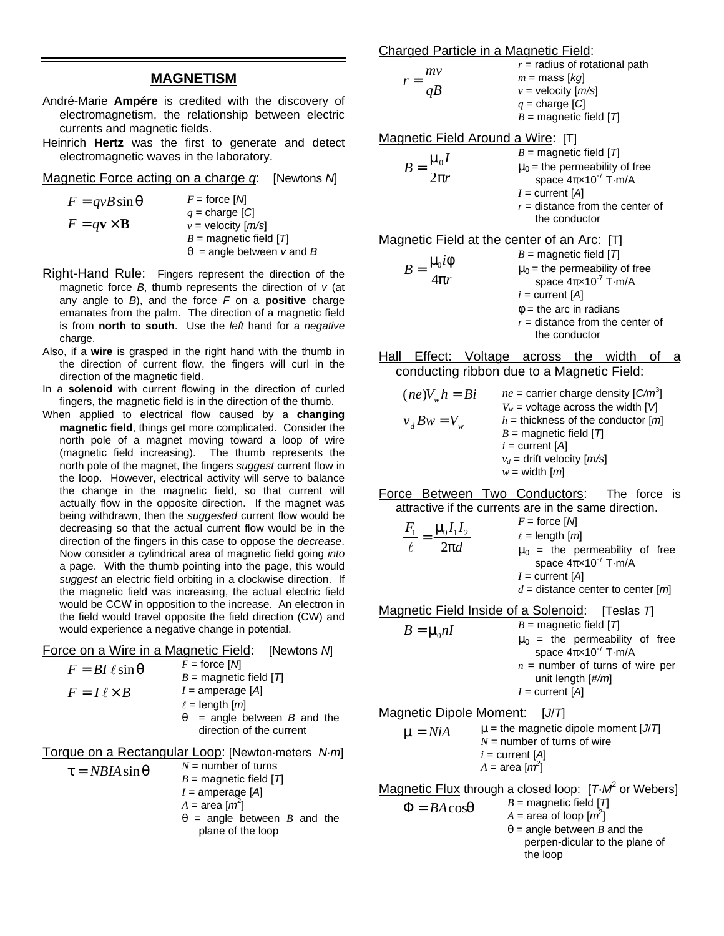## **MAGNETISM**

- André-Marie **Ampére** is credited with the discovery of electromagnetism, the relationship between electric currents and magnetic fields.
- Heinrich **Hertz** was the first to generate and detect electromagnetic waves in the laboratory.

Magnetic Force acting on a charge *q*: [Newtons *N*]

| $F = qvB\sin\theta$                  | $F =$ force [M]             |
|--------------------------------------|-----------------------------|
|                                      | $q =$ charge [C]            |
| $F = q \mathbf{v} \times \mathbf{B}$ | $v =$ velocity $[m/s]$      |
|                                      | $B =$ magnetic field $[T]$  |
|                                      | $q$ = angle between v and B |

- Right-Hand Rule: Fingers represent the direction of the magnetic force *B*, thumb represents the direction of *v* (at any angle to *B*), and the force *F* on a **positive** charge emanates from the palm. The direction of a magnetic field is from **north to south**. Use the *left* hand for a *negative* charge.
- Also, if a **wire** is grasped in the right hand with the thumb in the direction of current flow, the fingers will curl in the direction of the magnetic field.
- In a **solenoid** with current flowing in the direction of curled fingers, the magnetic field is in the direction of the thumb.
- When applied to electrical flow caused by a **changing magnetic field**, things get more complicated. Consider the north pole of a magnet moving toward a loop of wire (magnetic field increasing). The thumb represents the north pole of the magnet, the fingers *suggest* current flow in the loop. However, electrical activity will serve to balance the change in the magnetic field, so that current will actually flow in the opposite direction. If the magnet was being withdrawn, then the *suggested* current flow would be decreasing so that the actual current flow would be in the direction of the fingers in this case to oppose the *decrease*. Now consider a cylindrical area of magnetic field going *into* a page. With the thumb pointing into the page, this would *suggest* an electric field orbiting in a clockwise direction. If the magnetic field was increasing, the actual electric field would be CCW in opposition to the increase. An electron in the field would travel opposite the field direction (CW) and would experience a negative change in potential.

| Force on a Wire in a Magnetic Field: | [Newtons M] |
|--------------------------------------|-------------|
|--------------------------------------|-------------|

| $F = BI \ell \sin q$  | $F =$ force [M]             |
|-----------------------|-----------------------------|
|                       | $B =$ magnetic field $[T]$  |
| $F = I \ell \times B$ | $I =$ amperage [A]          |
|                       | $\ell =$ length $[m]$       |
|                       | $=$ angle between B and the |
|                       | direction of the current    |

Torque on a Rectangular Loop: [Newton·meters *N·m*]

$$
\tau = NBIA \sin \theta
$$
  
\n
$$
N = \text{number of turns}
$$
  
\n
$$
B = \text{magnetic field } [7]
$$
  
\n
$$
I = \text{amperage } [A]
$$
  
\n
$$
A = \text{area } [m^2]
$$
  
\n
$$
q = \text{angle between } B \text{ and the}
$$
  
\nplane of the loop

| Charged Particle in a Magnetic Field:               |                                                                                                                                                                                                                   |
|-----------------------------------------------------|-------------------------------------------------------------------------------------------------------------------------------------------------------------------------------------------------------------------|
| $r = \frac{mv}{aB}$                                 | $r =$ radius of rotational path<br>$m =$ mass [kg]<br>$v =$ velocity $[m/s]$<br>$q = \text{charge}$ [C]<br>$B =$ magnetic field $[T]$                                                                             |
| Magnetic Field Around a Wire: [T]                   |                                                                                                                                                                                                                   |
| $B=\frac{\mu_0 I}{2\pi r}$                          | $B =$ magnetic field $[T]$<br>$\mathbf{m}_{0}$ = the permeability of free<br>space $4\pi \times 10^{-7}$ T $\cdot$ m/A<br>$I =$ current [A]<br>$r =$ distance from the center of<br>the conductor                 |
| <u>Magnetic Field at the center of an Arc</u> : [T] |                                                                                                                                                                                                                   |
| $B = \frac{m_{\rm i} i \dot{r}}{4 \pi r}$           | $B =$ magnetic field $[T]$<br>$m0$ = the permeability of free<br>space $4\pi \times 10^{-7}$ T $\cdot$ m/A<br>$i =$ current [A]<br>$f$ = the arc in radians<br>$r =$ distance from the center of<br>the conductor |
| . <i>. .</i>                                        |                                                                                                                                                                                                                   |

Hall Effect: Voltage across the width of a conducting ribbon due to a Magnetic Field:

| $(ne)V_w h = Bi$ | $ne =$ carrier charge density $[C/m^3]$ |
|------------------|-----------------------------------------|
|                  | $V_w$ = voltage across the width [V]    |
| $v_d B w = V_w$  | $h =$ thickness of the conductor $[m]$  |
|                  | $B =$ magnetic field $[T]$              |
|                  | $i =$ current [A]                       |
|                  | $v_d$ = drift velocity $[m/s]$          |
|                  | $w = \text{width}$ [ <i>m</i> ]         |

Force Between Two Conductors: The force is attractive if the currents are in the same direction.

$$
\frac{F_1}{\ell} = \frac{\mathbf{m}_0 I_1 I_2}{2\mathbf{p}d}
$$
\n
$$
F = \text{force} [M]
$$
\n
$$
\ell = \text{length} [m]
$$
\n
$$
\mathbf{m}_0 = \text{ the permeability of free space } 4\pi \times 10^{-7} \text{ T} \cdot \text{m/A}
$$
\n
$$
I = \text{current} [A]
$$
\n
$$
d = \text{distance center to center} [m]
$$

Magnetic Field Inside of a Solenoid: [Teslas *T*]  $B = \mu_0 nI$  $B =$  magnetic field  $[T]$  $m_0$  = the permeability of free space  $4\pi \times 10^{-7}$  T·m/A

 $n =$  number of turns of wire per unit length [*#/m*] *I* = current [*A*]

Magnetic Dipole Moment: [*J*/*T*]  $m = NiA$  *m* = the magnetic dipole moment [*J*/*T*] *N* = number of turns of wire *i* = current [*A*]  $A = \text{area} [m^2]$ 

Magnetic Flux through a closed loop: [T·M<sup>2</sup> or Webers]

 $\Phi = BA \cos q$  $B =$  magnetic field  $[T]$  $A = \text{area of loop } [m^2]$ *q* = angle between *B* and the perpen-dicular to the plane of the loop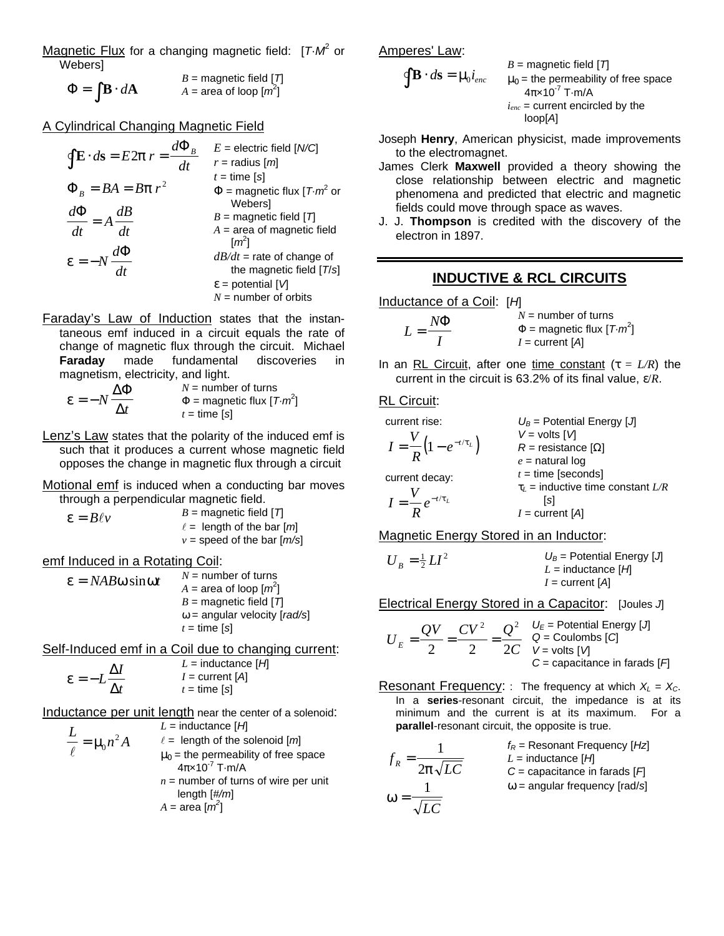Magnetic Flux for a changing magnetic field: [T.M<sup>2</sup> or Webers]

 $\Phi = \int \mathbf{B} \cdot d\mathbf{A}$  $B =$  magnetic field  $[T]$  $A = \text{area of loop } [m^2]$ 

A Cylindrical Changing Magnetic Field

| $E =$ electric field $[N/C]$<br>$r =$ radius $[m]$             |
|----------------------------------------------------------------|
| $t =$ time [s]                                                 |
| $\Phi$ = magnetic flux [T $\cdot$ m <sup>2</sup> or<br>Webersl |
| $B =$ magnetic field $[T]$                                     |
| $A =$ area of magnetic field<br>$\lceil m^2 \rceil$            |
| $dB/dt$ = rate of change of                                    |
| the magnetic field $[T/s]$                                     |
| $e =$ potential $\lfloor \sqrt{1} \rfloor$                     |
| $N =$ number of orbits                                         |
|                                                                |

Faraday's Law of Induction states that the instantaneous emf induced in a circuit equals the rate of change of magnetic flux through the circuit. Michael **Faraday** made fundamental discoveries in magnetism, electricity, and light.

$$
e = -N \frac{\Delta \Phi}{\Delta t}
$$
  
\n
$$
N = \text{number of turns}
$$
  
\n
$$
\Phi = \text{magnetic flux } [T \cdot m^2]
$$
  
\n
$$
t = \text{time [s]}
$$

Lenz's Law states that the polarity of the induced emf is such that it produces a current whose magnetic field opposes the change in magnetic flux through a circuit

Motional emf is induced when a conducting bar moves through a perpendicular magnetic field.

 $e = B\ell v$ *B* = magnetic field [*T*]  $\ell$  = length of the bar  $[m]$  $v =$  speed of the bar  $[m/s]$ 

emf Induced in a Rotating Coil:

$$
e = NABw \sin wt
$$
  
\n
$$
A = \text{area of loop } [m^2]
$$
  
\n
$$
B = \text{magnetic field } [T]
$$
  
\n
$$
w = \text{angular velocity } [rad/s]
$$
  
\n
$$
t = \text{time } [s]
$$

Self-Induced emf in a Coil due to changing current:

$$
e = -L \frac{\Delta I}{\Delta t}
$$
  
\n
$$
L = \text{inductance } [H]
$$
  
\n
$$
I = \text{current } [A]
$$
  
\n
$$
t = \text{time } [s]
$$

Inductance per unit length near the center of a solenoid:

| $L$                   | $L$           | $L$ | $Id$ |
|-----------------------|---------------|-----|------|
| $l$                   | $l$           | $l$ | $l$  |
| $m$                   | $l$           | $l$ |      |
| $m$                   | $m$           | $l$ |      |
| $m$                   | $l$           | $l$ |      |
| $4\pi \times 10^{-7}$ | $T \cdot m/A$ |     |      |
| $n$                   | $n$           |     |      |
| $n$                   | $l$           |     |      |

\nOutput

\nOutput

\nOutput

\nDescription:

\nOutput

\nDescription:

\nOutput

\nDescription:

\nOutput

\nDescription:

\nDescription:

\nOutput

\nDescription:

\nDescription:

\nDescription:

\nDescription:

\nOutput

\nDescription:

\nDescription:

\nDescription:

\nDescription:

\nDescription:

\nDescription:

\nDescription:

\nDescription:

\nDescription:

\nDescription:

\nDescription:

\nDescription:

\nDescription:

\nDescription:

\nDescription:

\nDescription:

\nDescription:

\nOutput

\nDescription:

\nDescription:

\nDescription:

\nDescription:

\nDescription:

\nDescription:

\nDescription:

\nDescription:

\nDescription:

\nDescription:

\nOutput

\nDescription:

\nDescription:

\nDescription:

\nDescription:

\nOutput

\nDescription:

\nDescription:

\nDescription:

\nOutput

\nDescription:

\nDescription:

\nDescription:

\nDescription:

\nDescription:

\nDescription:

\nDescription:

\nDescription:

\nOutput

\nDescription:

\nDescription:

\nDescription:

\nOutput

\nDescription:

\nDescription:

\nOutput

\

Amperes' Law:

**<sup>B</sup>** <sup>⋅</sup> **<sup>s</sup>** <sup>=</sup> ∫

$$
\mathbf{B} \cdot d\mathbf{s} = \mathbf{m}_{\hat{\theta}} i_{\text{enc}}
$$

*B* = magnetic field [*T*]  $m_0$  = the permeability of free space  $4\pi \times 10^{-7}$  T·m/A  $i_{enc}$  = current encircled by the loop[*A*]

Joseph **Henry**, American physicist, made improvements to the electromagnet.

- James Clerk **Maxwell** provided a theory showing the close relationship between electric and magnetic phenomena and predicted that electric and magnetic fields could move through space as waves.
- J. J. **Thompson** is credited with the discovery of the electron in 1897.

# **INDUCTIVE & RCL CIRCUITS**

Inductance of a Coil: [*H*]

| NФ | $N =$ number of turns                  |
|----|----------------------------------------|
|    | $\Phi$ = magnetic flux $[T \cdot m^2]$ |
|    | $I = current [A]$                      |

In an RL Circuit, after one time constant  $(t = L/R)$  the current in the circuit is 63.2% of its final value, ε/*R*.

## RL Circuit:

| current rise:                      | $U_B$ = Potential Energy [J] |
|------------------------------------|------------------------------|
| $I = \frac{V}{R} (1 - e^{-t/t_L})$ | $V = \text{volts} [V]$       |
| $u = \text{relaxial} [V]$          |                              |
| $u = \text{relaxial} [V]$          |                              |
| $u = \text{relaxial} [V]$          |                              |
| $u = \text{relaxial} [V]$          |                              |
| $u = \text{relaxial} [V]$          |                              |
| $u = \text{relaxial} [V]$          |                              |
| $u = \text{relaxial} [V]$          |                              |
| $u = \text{relaxial} [V]$          |                              |
| $u = \text{relaxial} [V]$          |                              |
| $u = \text{relaxial} [V]$          |                              |
| $u = \text{relaxial} [V]$          |                              |
| $u = \text{relaxial} [V]$          |                              |
| $u = \text{relaxial} [V]$          |                              |
| $u = \text{relaxial} [V]$          |                              |
| $u = \text{relaxial} [V]$          |                              |
| $u = \text{relaxial} [V]$          |                              |
| $u = \text{relaxial} [V]$          |                              |
| $u = \text{relaxial} [V]$          |                              |
| $u = \text{relaxial} [V]$          |                              |
| $u = \text{relaxial} [V]$          |                              |
| $u = \text{relaxial} [V]$          |                              |
| $u = \text{relaxial} [V]$          |                              |
| $u = \text{relaxial} [V]$          |                              |
| $u = \text{relaxial} [V]$          |                              |

Magnetic Energy Stored in an Inductor:

$$
U_B = \frac{1}{2}LI^2
$$
  
\n
$$
U_B = \text{Potential Energy [J]}
$$
  
\n
$$
L = \text{inductance [H]}
$$
  
\n
$$
I = \text{current [A]}
$$

Electrical Energy Stored in a Capacitor: [Joules *J*]

$$
U_E = \frac{QV}{2} = \frac{CV^2}{2} = \frac{Q^2}{2C} \quad \begin{array}{l} U_E = \text{Potential Energy [J]} \\ Q = \text{Coulombs [C]} \\ V = \text{volts [V]} \\ C = \text{capacitance in farads [F]} \end{array}
$$

Resonant Frequency: : The frequency at which  $X_L = X_C$ . In a **series**-resonant circuit, the impedance is at its minimum and the current is at its maximum. For a **parallel**-resonant circuit, the opposite is true.

$$
f_R = \frac{1}{2\mathbf{p}\sqrt{LC}}
$$

$$
\mathbf{w} = \frac{1}{\sqrt{LC}}
$$

 $\sqrt{LC}$ 

*fR* = Resonant Frequency [*Hz*] *L* = inductance [*H*] *C* = capacitance in farads [*F*] *w* = angular frequency [rad/*s*]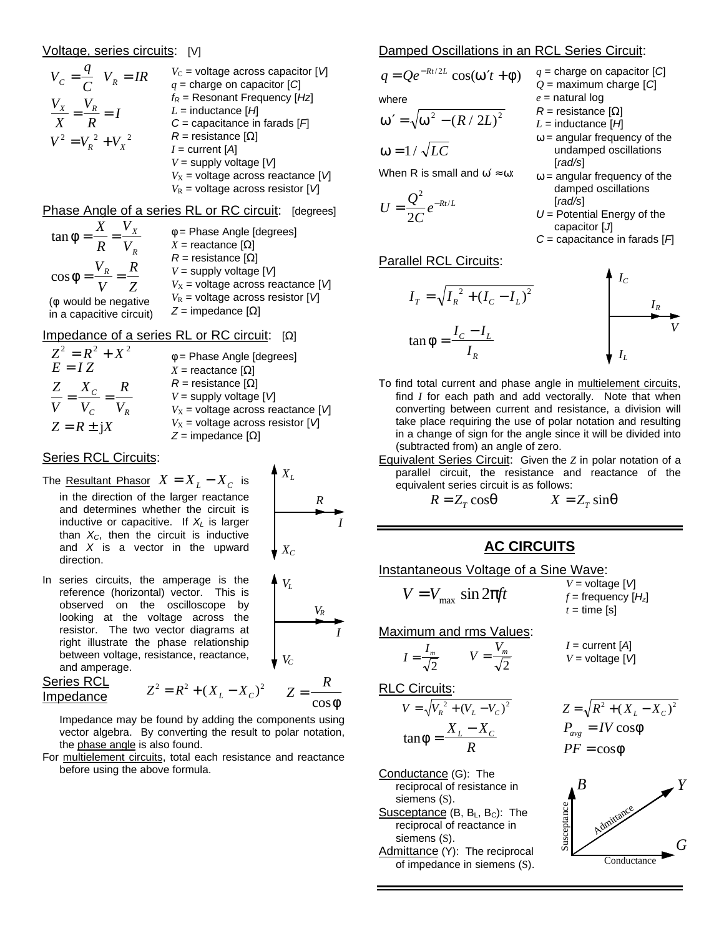### Voltage, series circuits: [V]

$$
V_C = \frac{q}{C} V_R = IR
$$
  
\n
$$
V_C = \text{voltage across capacitor } [V]
$$
  
\n
$$
\frac{V_X}{X} = \frac{V_R}{R} = I
$$
  
\n
$$
V^2 = V_R^2 + V_X^2
$$
  
\n
$$
V^2 = V_R^2 + V_X^2
$$
  
\n
$$
V^2 = V_R^2 + V_X^2
$$
  
\n
$$
V^2 = V_R^2 + V_X^2
$$
  
\n
$$
V = \text{supply voltage } [V]
$$
  
\n
$$
V_X = \text{voltage across resistor } [V]
$$
  
\n
$$
V_R = \text{voltage across resistor } [V]
$$

Phase Angle of a series RL or RC circuit: [degrees]

| $\tan f =$                                         | $f$ = Phase Angle [degrees]<br>$X =$ reactance $[W]$                                                      |
|----------------------------------------------------|-----------------------------------------------------------------------------------------------------------|
| $\cos f = \frac{v_R}{r} = \frac{R}{r}$             | $R =$ resistance [ <i>W</i> ]<br>$V =$ supply voltage $[V]$<br>$V_{\rm X}$ = voltage across reactance [V] |
| $(f$ would be negative<br>in a capacitive circuit) | $V_{\rm R}$ = voltage across resistor [V]<br>$Z =$ impedance $[W]$                                        |

## Impedance of a series RL or RC circuit: [*W*]

| $Z^2 = R^2 + X^2$        | $f$ = Phase Angle [degrees]                |
|--------------------------|--------------------------------------------|
| $E = IZ$                 | $X =$ reactance [ <i>W</i> ]               |
| $\frac{Z}{Z}$<br>$X_{C}$ | $R =$ resistance [ <i>W</i> ]              |
|                          | $V =$ supply voltage $\lceil V \rceil$     |
| $V = V_c$                | $V_{\rm X}$ = voltage across reactance [V] |
| $Z = R \pm iX$           | $V_{\rm X}$ = voltage across resistor [V]  |
|                          | $Z =$ impedance $[W]$                      |

### Series RCL Circuits:

- The <u>Resultant Phasor</u>  $X = X_L X_C$  is in the direction of the larger reactance and determines whether the circuit is inductive or capacitive. If *XL* is larger than  $X_C$ , then the circuit is inductive and *X* is a vector in the upward direction.
- In series circuits, the amperage is the reference (horizontal) vector. This is observed on the oscilloscope by looking at the voltage across the resistor. The two vector diagrams at right illustrate the phase relationship between voltage, resistance, reactance, and amperage.

Series RCL  $Im$  *R*  $H$ *P*  $H$ *Z*  $H$ *Z*  $H$ *Z*  $H$ *Z*  $H$ *Z*  $H$ *Z*  $H$ *Z*  $H$ *Z*  $H$ *Z*  $H$ *Z*  $H$ *Z*  $H$ *Z*  $H$ *Z*  $H$ *Z*  $H$ *Z*  $H$ *Z*  $H$ *Z*  $H$ *Z*  $H$ *Z*  $H$ *Z*  $H$ *Z*  $H$ *Z*  $H$ *Z*  $H$ *Z*  $H$ *Z*  $H$ *Z*  $H$ *Z*  $H$ *Z*  $H$ *Z*  $H$ 



 $X_L$ 



$$
x^{2} = R^{2} + (X_{L} - X_{C})^{2} \qquad Z = \frac{R}{\cos f}
$$

Impedance may be found by adding the components using vector algebra. By converting the result to polar notation, the phase angle is also found.

For multielement circuits, total each resistance and reactance before using the above formula.

#### Damped Oscillations in an RCL Series Circuit:

$$
q = Qe^{-Rt/2L} \cos(w't + f)
$$
  
where

$$
\mathbf{w'} = \sqrt{\mathbf{w}^2 - (R/2L)^2}
$$

$$
w=1/\sqrt{LC}
$$

When R is small and  $\omega' \approx \omega$ :

$$
U=\frac{Q^2}{2C}e^{-Rt/L}
$$

- *q* = charge on capacitor [*C*] *Q* = maximum charge [*C*] *e* = natural log
- *R* = resistance [*W*]
- *L* = inductance [*H*]
- *w* = angular frequency of the undamped oscillations [*rad/s*]
- *w* = angular frequency of the damped oscillations [*rad/s*]
- *U* = Potential Energy of the capacitor [*J*]
- *C* = capacitance in farads [*F*]

 $\boldsymbol{\Lambda}$ 

### **Parallel RCL Circuits:**

$$
I_T = \sqrt{I_R^2 + (I_C - I_L)^2}
$$
\n
$$
\tan f = \frac{I_C - I_L}{I_R}
$$
\n
$$
I_R
$$
\n
$$
I_L
$$

- To find total current and phase angle in multielement circuits, find *I* for each path and add vectorally. Note that when converting between current and resistance, a division will take place requiring the use of polar notation and resulting in a change of sign for the angle since it will be divided into (subtracted from) an angle of zero.
- Equivalent Series Circuit: Given the *Z* in polar notation of a parallel circuit, the resistance and reactance of the equivalent series circuit is as follows:

$$
R = Z_T \cos q \qquad \qquad X = Z_T \sin q
$$

# **AC CIRCUITS**

Instantaneous Voltage of a Sine Wave:

2

$$
V = V_{\text{max}} \sin 2\pi ft
$$
  
\n
$$
V = \text{voltage } [V]
$$
  
\n
$$
f = \text{frequency } [H_z]
$$
  
\n
$$
t = \text{time } [s]
$$

Maximum and rms Values:

 $V = \frac{V_m}{\sqrt{2}}$ 

$$
I = current [A]
$$

$$
V = voltage [V]
$$

RLC Circuits:

 $I = \frac{I_m}{\sqrt{2}}$ 

$$
V = \sqrt{V_R^2 + (V_L - V_C)^2}
$$

$$
\tan f = \frac{X_L - X_C}{R}
$$

Conductance (G): The reciprocal of resistance in siemens (S). Susceptance (B, B<sub>L</sub>, B<sub>C</sub>): The reciprocal of reactance in siemens (S). Admittance (Y): The reciprocal of impedance in siemens (S).

$$
\frac{(V_L - V_C)^2}{L - X_C}
$$
\n
$$
Z = \sqrt{R^2 + (X_L - X_C)^2}
$$
\n
$$
P_{avg} = IV \cos f
$$
\n
$$
PF = \cos f
$$

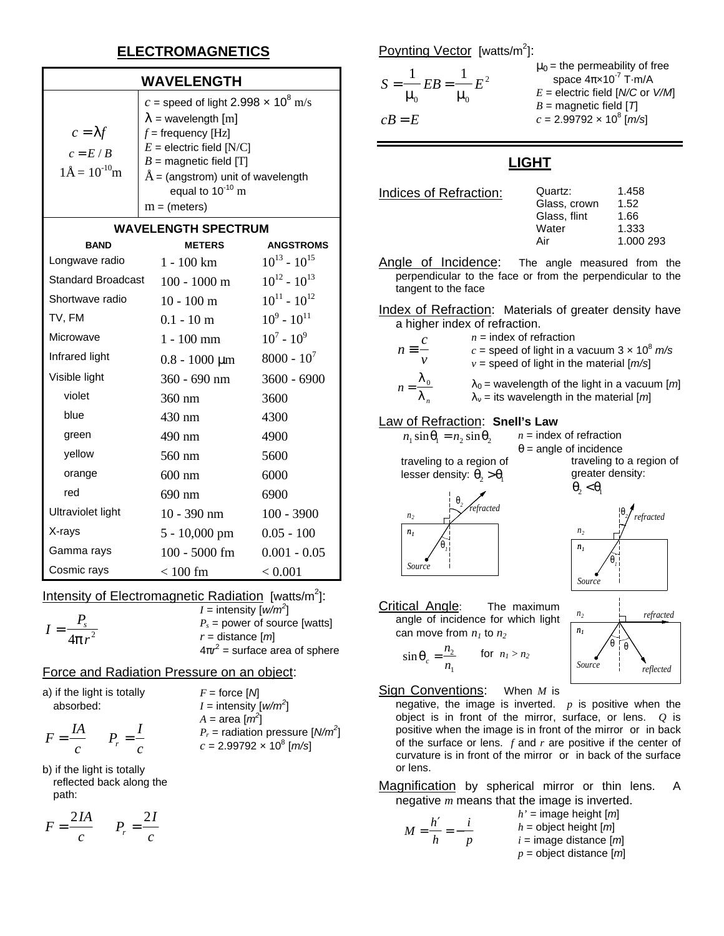# **ELECTROMAGNETICS**

## **WAVELENGTH**

| $c = \lambda f$<br>$c = E / B$<br>$1\text{\AA} = 10^{-10} \text{m}$ | c = speed of light 2.998 $\times$ 10 <sup>8</sup> m/s<br>$\lambda$ = wavelength [m]<br>$f$ = frequency [Hz]<br>$E$ = electric field [N/C]<br>$B =$ magnetic field [T]<br>$\AA$ = (angstrom) unit of wavelength<br>equal to $10^{-10}$ m<br>$m = (meters)$ |
|---------------------------------------------------------------------|-----------------------------------------------------------------------------------------------------------------------------------------------------------------------------------------------------------------------------------------------------------|
|---------------------------------------------------------------------|-----------------------------------------------------------------------------------------------------------------------------------------------------------------------------------------------------------------------------------------------------------|

### **WAVELENGTH SPECTRUM**

| <b>BAND</b>               | <b>METERS</b>         | <b>ANGSTROMS</b>    |
|---------------------------|-----------------------|---------------------|
| Longwave radio            | $1 - 100 \mathrm{km}$ | $10^{13} - 10^{15}$ |
| <b>Standard Broadcast</b> | $100 - 1000$ m        | $10^{12} - 10^{13}$ |
| Shortwave radio           | $10 - 100$ m          | $10^{11} - 10^{12}$ |
| TV, FM                    | $0.1 - 10 \text{ m}$  | $10^9 - 10^{11}$    |
| Microwave                 | $1 - 100$ mm          | $10^7 - 10^9$       |
| Infrared light            | $0.8 - 1000 \mu m$    | $8000 - 10^{7}$     |
| Visible light             | $360 - 690$ nm        | $3600 - 6900$       |
| violet                    | 360 nm                | 3600                |
| blue                      | 430 nm                | 4300                |
| green                     | 490 nm                | 4900                |
| yellow                    | 560 nm                | 5600                |
| orange                    | $600$ nm              | 6000                |
| red                       | 690 nm                | 6900                |
| Ultraviolet light         | $10 - 390$ nm         | $100 - 3900$        |
| X-rays                    | $5 - 10,000$ pm       | $0.05 - 100$        |
| Gamma rays                | $100 - 5000$ fm       | $0.001 - 0.05$      |
| Cosmic rays               | $< 100$ fm            | < 0.001             |

Intensity of Electromagnetic Radiation [watts/m<sup>2</sup>]:

$$
I = \frac{P_s}{4\mathbf{p}r^2}
$$
  
\n
$$
I = \text{intensity } [w/m^2]
$$
  
\n
$$
P_s = \text{power of source [watts]}
$$
  
\n
$$
r = \text{distance } [m]
$$
  
\n
$$
4\mathbf{p}r^2 = \text{surface area of sphere}
$$

## Force and Radiation Pressure on an object:

|           |  | a) if the light is totally |
|-----------|--|----------------------------|
| absorbed: |  |                            |

*IA c*

*F*

 $F =$  force  $[M]$  $I =$  intensity  $[w/m^2]$  $A = \text{area} [m^2]$  $P_r$  = radiation pressure  $[N/m^2]$  $c = 2.99792 \times 10^8 \, [\text{m/s}]$ 

b) if the light is totally reflected back along the path:

 $=\frac{IA}{P_r}$   $P_r = \frac{I}{I}$ 

 $P_r = \frac{1}{c}$ 

$$
F = \frac{2IA}{c} \qquad P_r = \frac{2I}{c}
$$

Poynting Vector [watts/m<sup>2</sup>]:

$$
S = \frac{1}{m_0} EB = \frac{1}{m_0} E^2
$$
  
\n
$$
c = E
$$
  
\n
$$
T_0 = \frac{1}{m_0} E^2
$$
  
\n
$$
T_1 = \frac{1}{m_0} E^2
$$
  
\n
$$
T_2 = \frac{1}{m_0} E^2
$$
  
\n
$$
E = \frac{1}{m_0} \text{ space } 4\pi \times 10^{-7} \text{ T} \cdot \text{m/A}
$$
  
\n
$$
E = \frac{1}{m_0} \text{ space } 4\pi \times 10^{-7} \text{ T} \cdot \text{m/A}
$$
  
\n
$$
E = \frac{1}{m_0} \text{ space } 4\pi \times 10^{-7} \text{ T} \cdot \text{m/A}
$$
  
\n
$$
B = \frac{1}{m_0} \text{ space } 4\pi \times 10^{-7} \text{ T} \cdot \text{m/A}
$$
  
\n
$$
B = \frac{1}{m_0} \text{ space } 4\pi \times 10^{-7} \text{ T} \cdot \text{m/A}
$$

# **LIGHT**

Indices of Refraction:

*n*

*n*

| Quartz:      | 1.458     |
|--------------|-----------|
| Glass, crown | 1.52      |
| Glass, flint | 1.66      |
| Water        | 1.333     |
| Air          | 1.000 293 |
|              |           |

Angle of Incidence: The angle measured from the perpendicular to the face or from the perpendicular to the tangent to the face

Index of Refraction: Materials of greater density have a higher index of refraction.

| C                                     | $n =$ index of refraction<br>c = speed of light in a vacuum $3 \times 10^8$ m/s<br>$v =$ speed of light in the material $[m/s]$ |
|---------------------------------------|---------------------------------------------------------------------------------------------------------------------------------|
| $-\frac{\lambda_0}{\phantom{\alpha}}$ | $I_{\theta}$ = wavelength of the light in a vacuum [m]                                                                          |
| $\lambda_{n}$                         | $I_n$ = its wavelength in the material [m]                                                                                      |

### Law of Refraction: **Snell's Law**

| $n_1 \sin q_1 = n_2 \sin q_2$               | $n =$ index of refraction                                                            |
|---------------------------------------------|--------------------------------------------------------------------------------------|
|                                             | $q =$ angle of incidence                                                             |
| traveling to a region of                    | traveling to a region of                                                             |
| lesser density: $q_2 > q_1$                 | greater density:                                                                     |
| n <sub>2</sub><br>n <sub>1</sub><br>$q_{I}$ | $q_{\scriptscriptstyle{2}} < q_{\scriptscriptstyle{1}}$<br>n <sub>2</sub><br>$n_{I}$ |
| Sourc                                       |                                                                                      |

Critical Angle: The maximum angle of incidence for which light can move from  $n_1$  to  $n_2$ 

$$
\sin \theta_c = \frac{n_2}{n_1} \qquad \text{for } n_1 > n_2
$$



Sign Conventions: When *M* is

negative, the image is inverted.  $p$  is positive when the object is in front of the mirror, surface, or lens. *Q* is positive when the image is in front of the mirror or in back of the surface or lens. *f* and *r* are positive if the center of curvature is in front of the mirror or in back of the surface or lens.

Magnification by spherical mirror or thin lens. A negative *m* means that the image is inverted.

$$
M = \frac{h'}{h} = -\frac{i}{p}
$$
  

$$
h' = \text{image height } [m]
$$
  

$$
h = \text{object height } [m]
$$
  

$$
i = \text{image distance } [m]
$$
  

$$
p = \text{object distance } [m]
$$